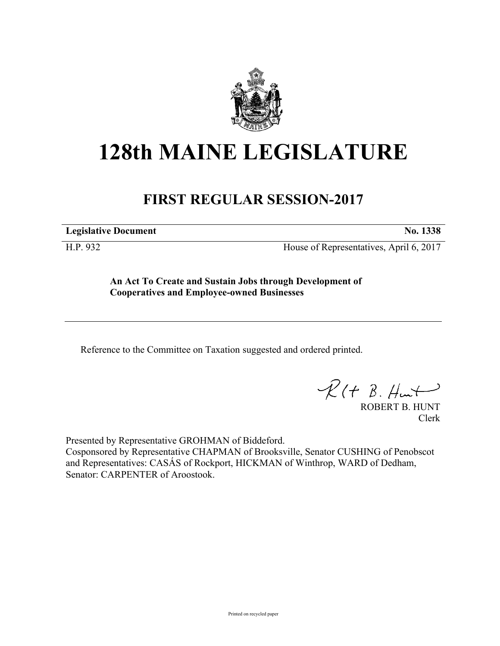

## **128th MAINE LEGISLATURE**

## **FIRST REGULAR SESSION-2017**

**Legislative Document No. 1338**

H.P. 932 House of Representatives, April 6, 2017

**An Act To Create and Sustain Jobs through Development of Cooperatives and Employee-owned Businesses**

Reference to the Committee on Taxation suggested and ordered printed.

 $R(t B. Hmt)$ 

ROBERT B. HUNT Clerk

Presented by Representative GROHMAN of Biddeford.

Cosponsored by Representative CHAPMAN of Brooksville, Senator CUSHING of Penobscot and Representatives: CASÁS of Rockport, HICKMAN of Winthrop, WARD of Dedham, Senator: CARPENTER of Aroostook.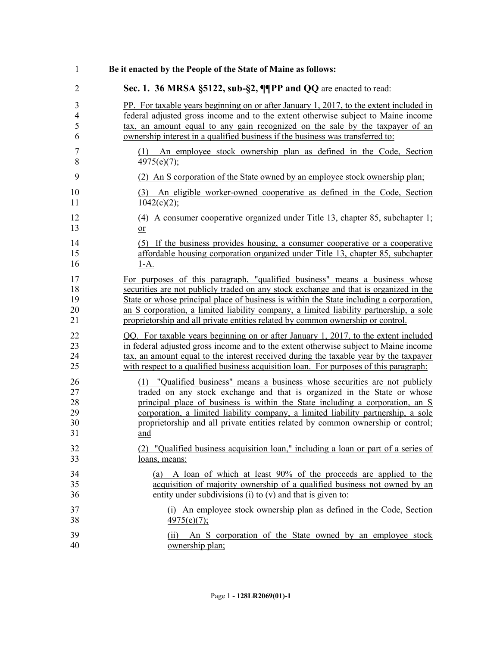| 1              | Be it enacted by the People of the State of Maine as follows:                                    |
|----------------|--------------------------------------------------------------------------------------------------|
| $\overline{2}$ | Sec. 1. 36 MRSA §5122, sub-§2, ¶PP and QQ are enacted to read:                                   |
| 3              | PP. For taxable years beginning on or after January 1, 2017, to the extent included in           |
| $\overline{4}$ | federal adjusted gross income and to the extent otherwise subject to Maine income                |
| 5              | tax, an amount equal to any gain recognized on the sale by the taxpayer of an                    |
| 6              | ownership interest in a qualified business if the business was transferred to:                   |
| 7<br>8         | An employee stock ownership plan as defined in the Code, Section<br>(1)<br>$\frac{4975(e)}{7}$ ; |
| 9              | (2) An S corporation of the State owned by an employee stock ownership plan:                     |
| 10<br>11       | An eligible worker-owned cooperative as defined in the Code, Section<br>(3)<br>$1042(c)(2)$ ;    |
| 12             | $(4)$ A consumer cooperative organized under Title 13, chapter 85, subchapter 1;                 |
| 13             | <sub>or</sub>                                                                                    |
| 14             | (5) If the business provides housing, a consumer cooperative or a cooperative                    |
| 15             | affordable housing corporation organized under Title 13, chapter 85, subchapter                  |
| 16             | <u>1-A.</u>                                                                                      |
| 17             | For purposes of this paragraph, "qualified business" means a business whose                      |
| 18             | securities are not publicly traded on any stock exchange and that is organized in the            |
| 19             | State or whose principal place of business is within the State including a corporation.          |
| 20             | an S corporation, a limited liability company, a limited liability partnership, a sole           |
| 21             | proprietorship and all private entities related by common ownership or control.                  |
| 22             | QQ. For taxable years beginning on or after January 1, 2017, to the extent included              |
| 23             | in federal adjusted gross income and to the extent otherwise subject to Maine income             |
| 24             | tax, an amount equal to the interest received during the taxable year by the taxpayer            |
| 25             | with respect to a qualified business acquisition loan. For purposes of this paragraph:           |
| 26             | (1) "Qualified business" means a business whose securities are not publicly                      |
| 27             | traded on any stock exchange and that is organized in the State or whose                         |
| 28             | principal place of business is within the State including a corporation, an S                    |
| 29             | corporation, a limited liability company, a limited liability partnership, a sole                |
| 30             | proprietorship and all private entities related by common ownership or control;                  |
| 31             | and                                                                                              |
| 32             | (2) "Qualified business acquisition loan," including a loan or part of a series of               |
| 33             | <u>loans, means:</u>                                                                             |
| 34             | (a) A loan of which at least 90% of the proceeds are applied to the                              |
| 35             | acquisition of majority ownership of a qualified business not owned by an                        |
| 36             | entity under subdivisions (i) to $(v)$ and that is given to:                                     |
| 37             | (i) An employee stock ownership plan as defined in the Code, Section                             |
| 38             | 4975(e)(7);                                                                                      |
| 39<br>40       | An S corporation of the State owned by an employee stock<br>(11)<br>ownership plan;              |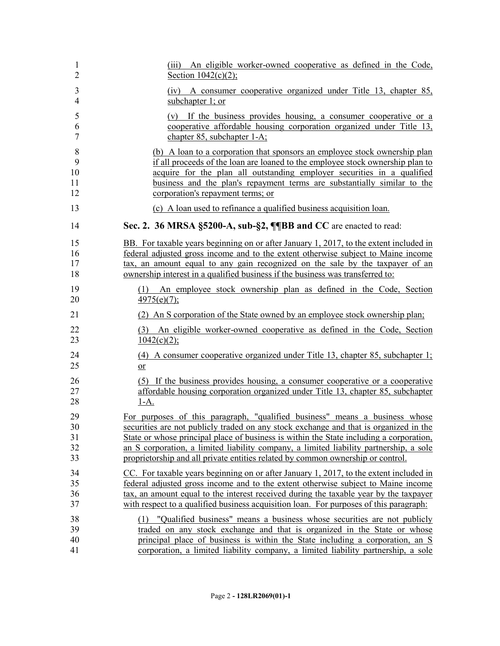| 1              | (iii) An eligible worker-owned cooperative as defined in the Code,                      |
|----------------|-----------------------------------------------------------------------------------------|
| $\overline{2}$ | Section $1042(c)(2)$ ;                                                                  |
| 3              | (iv) A consumer cooperative organized under Title 13, chapter 85,                       |
| $\overline{4}$ | subchapter 1; or                                                                        |
| 5              | (v) If the business provides housing, a consumer cooperative or a                       |
| 6              | cooperative affordable housing corporation organized under Title 13,                    |
| $\overline{7}$ | chapter 85, subchapter 1-A;                                                             |
| 8              | (b) A loan to a corporation that sponsors an employee stock ownership plan              |
| 9              | if all proceeds of the loan are loaned to the employee stock ownership plan to          |
| 10             | acquire for the plan all outstanding employer securities in a qualified                 |
| 11             | business and the plan's repayment terms are substantially similar to the                |
| 12             | corporation's repayment terms; or                                                       |
| 13             | (c) A loan used to refinance a qualified business acquisition loan.                     |
| 14             | Sec. 2. 36 MRSA §5200-A, sub-§2, ¶¶BB and CC are enacted to read:                       |
| 15             | BB. For taxable years beginning on or after January 1, 2017, to the extent included in  |
| 16             | federal adjusted gross income and to the extent otherwise subject to Maine income       |
| 17             | tax, an amount equal to any gain recognized on the sale by the taxpayer of an           |
| 18             | ownership interest in a qualified business if the business was transferred to:          |
| 19             | (1) An employee stock ownership plan as defined in the Code, Section                    |
| 20             | $4975(e)(7)$ ;                                                                          |
| 21             | (2) An S corporation of the State owned by an employee stock ownership plan;            |
| 22             | (3) An eligible worker-owned cooperative as defined in the Code, Section                |
| 23             | $\frac{1042(c)(2)}{c}$                                                                  |
| 24             | $(4)$ A consumer cooperative organized under Title 13, chapter 85, subchapter 1;        |
| 25             | $or$                                                                                    |
| 26             | (5) If the business provides housing, a consumer cooperative or a cooperative           |
| 27             | affordable housing corporation organized under Title 13, chapter 85, subchapter         |
| 28             | <u>1-A.</u>                                                                             |
| 29             | For purposes of this paragraph, "qualified business" means a business whose             |
| 30             | securities are not publicly traded on any stock exchange and that is organized in the   |
| 31             | State or whose principal place of business is within the State including a corporation. |
| 32             | an S corporation, a limited liability company, a limited liability partnership, a sole  |
| 33             | proprietorship and all private entities related by common ownership or control.         |
| 34             | CC. For taxable years beginning on or after January 1, 2017, to the extent included in  |
| 35             | federal adjusted gross income and to the extent otherwise subject to Maine income       |
| 36             | tax, an amount equal to the interest received during the taxable year by the taxpayer   |
| 37             | with respect to a qualified business acquisition loan. For purposes of this paragraph:  |
| 38             | (1) "Qualified business" means a business whose securities are not publicly             |
| 39             | traded on any stock exchange and that is organized in the State or whose                |
| 40             | principal place of business is within the State including a corporation, an S           |
| 41             | corporation, a limited liability company, a limited liability partnership, a sole       |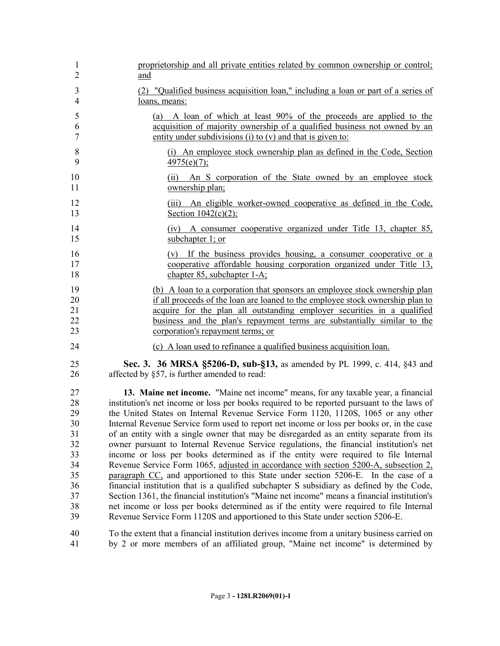| 1              | proprietorship and all private entities related by common ownership or control;              |
|----------------|----------------------------------------------------------------------------------------------|
| $\overline{2}$ | and                                                                                          |
| 3              | (2) "Qualified business acquisition loan," including a loan or part of a series of           |
| $\overline{4}$ | loans, means:                                                                                |
| 5              | (a) A loan of which at least 90% of the proceeds are applied to the                          |
| 6              | acquisition of majority ownership of a qualified business not owned by an                    |
| $\tau$         | entity under subdivisions (i) to (v) and that is given to:                                   |
| 8              | (i) An employee stock ownership plan as defined in the Code, Section                         |
| 9              | $\frac{4975(e)}{7}$ ;                                                                        |
| 10<br>11       | An S corporation of the State owned by an employee stock<br>(11)<br>ownership plan;          |
| 12             | (iii) An eligible worker-owned cooperative as defined in the Code,                           |
| 13             | Section $1042(c)(2)$ ;                                                                       |
| 14             | (iv) A consumer cooperative organized under Title 13, chapter 85,                            |
| 15             | subchapter 1; or                                                                             |
| 16             | (v) If the business provides housing, a consumer cooperative or a                            |
| 17             | cooperative affordable housing corporation organized under Title 13.                         |
| 18             | chapter 85, subchapter 1-A:                                                                  |
| 19             | (b) A loan to a corporation that sponsors an employee stock ownership plan                   |
| 20             | if all proceeds of the loan are loaned to the employee stock ownership plan to               |
| 21             | acquire for the plan all outstanding employer securities in a qualified                      |
| 22             | business and the plan's repayment terms are substantially similar to the                     |
| 23             | corporation's repayment terms; or                                                            |
| 24             | (c) A loan used to refinance a qualified business acquisition loan.                          |
| 25             | Sec. 3. 36 MRSA §5206-D, sub-§13, as amended by PL 1999, c. 414, §43 and                     |
| 26             | affected by §57, is further amended to read:                                                 |
| 27             | 13. Maine net income. "Maine net income" means, for any taxable year, a financial            |
| 28             | institution's net income or loss per books required to be reported pursuant to the laws of   |
| 29             | the United States on Internal Revenue Service Form 1120, 1120S, 1065 or any other            |
| 30             | Internal Revenue Service form used to report net income or loss per books or, in the case    |
| 31             | of an entity with a single owner that may be disregarded as an entity separate from its      |
| 32             | owner pursuant to Internal Revenue Service regulations, the financial institution's net      |
| 33             | income or loss per books determined as if the entity were required to file Internal          |
| 34             | Revenue Service Form 1065, adjusted in accordance with section 5200-A, subsection 2,         |
| 35             | paragraph CC, and apportioned to this State under section 5206-E. In the case of a           |
| 36             | financial institution that is a qualified subchapter S subsidiary as defined by the Code,    |
| 37             | Section 1361, the financial institution's "Maine net income" means a financial institution's |
| 38             | net income or loss per books determined as if the entity were required to file Internal      |
| 39             | Revenue Service Form 1120S and apportioned to this State under section 5206-E.               |
| 40             | To the extent that a financial institution derives income from a unitary business carried on |
| 41             | by 2 or more members of an affiliated group, "Maine net income" is determined by             |